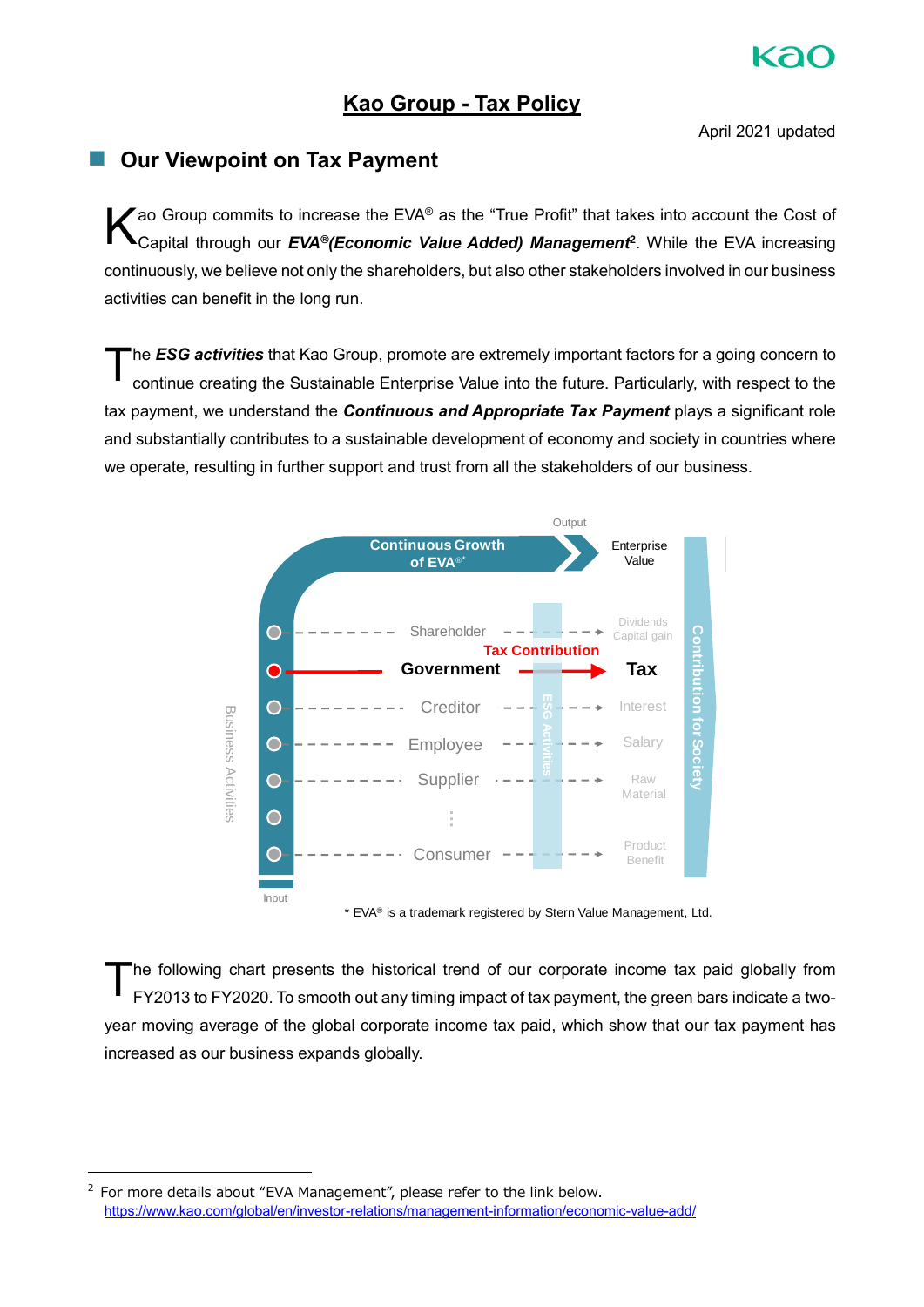# **Kao Group - Tax Policy**

April 2021 updated

# ■ Our Viewpoint on Tax Payment

Tao Group commits to increase the EVA® as the "True Profit" that takes into account the Cost of Capital through our *EVA®(Economic Value Added) Management* **2** While the EVA increasing continuously, we believe not only the shareholders, but also other stakeholders involved in our business activities can benefit in the long run K

he *ESG activities* that Kao Group, promote are extremely important factors for a going concern to continue creating the Sustainable Enterprise Value into the future. Particularly, with respect to the tax payment, we understand the *Continuous and Appropriate Tax Payment* plays a significant role and substantially contributes to a sustainable development of economy and society in countries where we operate, resulting in further support and trust from all the stakeholders of our business T



\* EVA® is a trademark registered by Stern Value Management, Ltd.

he following chart presents the historical trend of our corporate income tax paid globally from FY2013 to FY2020 To smooth out any timing impact of tax payment, the green bars indicate a twoyear moving average of the global corporate income tax paid, which show that our tax payment has increased as our business expands globally. T

-

 $2$  For more details about "EVA Management", please refer to the link below. [https://www kao com/global/en/investor-relations/management-information/economic-value-add/](https://www.kao.com/global/en/investor-relations/management-information/economic-value-add/)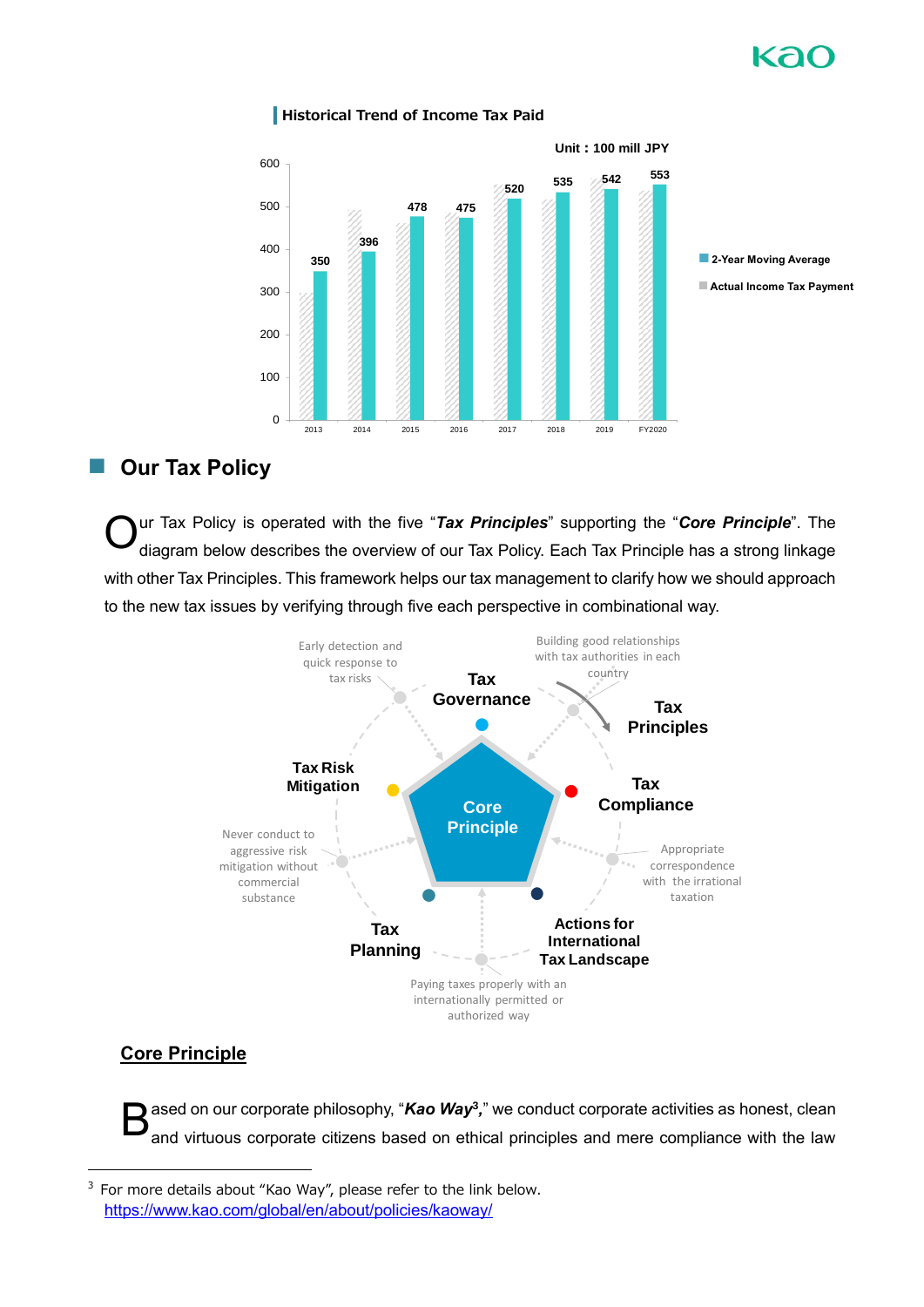

### **Historical Trend of Income Tax Paid**

# ■ Our Tax Policy

ur Tax Policy is operated with the five "Tax Principles" supporting the "Core Principle". The diagram below describes the overview of our Tax Policy. Each Tax Principle has a strong linkage with other Tax Principles. This framework helps our tax management to clarify how we should approach to the new tax issues by verifying through five each perspective in combinational way O



# **Core Principle**

ased on our corporate philosophy, "*Kao Way<sup>3</sup>,*" we conduct corporate activities as honest, clean and virtuous corporate citizens based on ethical principles and mere compliance with the law B

<sup>3</sup> For more details about "Kao Way", please refer to the link below. [https://www kao com/global/en/about/policies/kaoway/](https://www.kao.com/global/en/about/policies/kaoway/)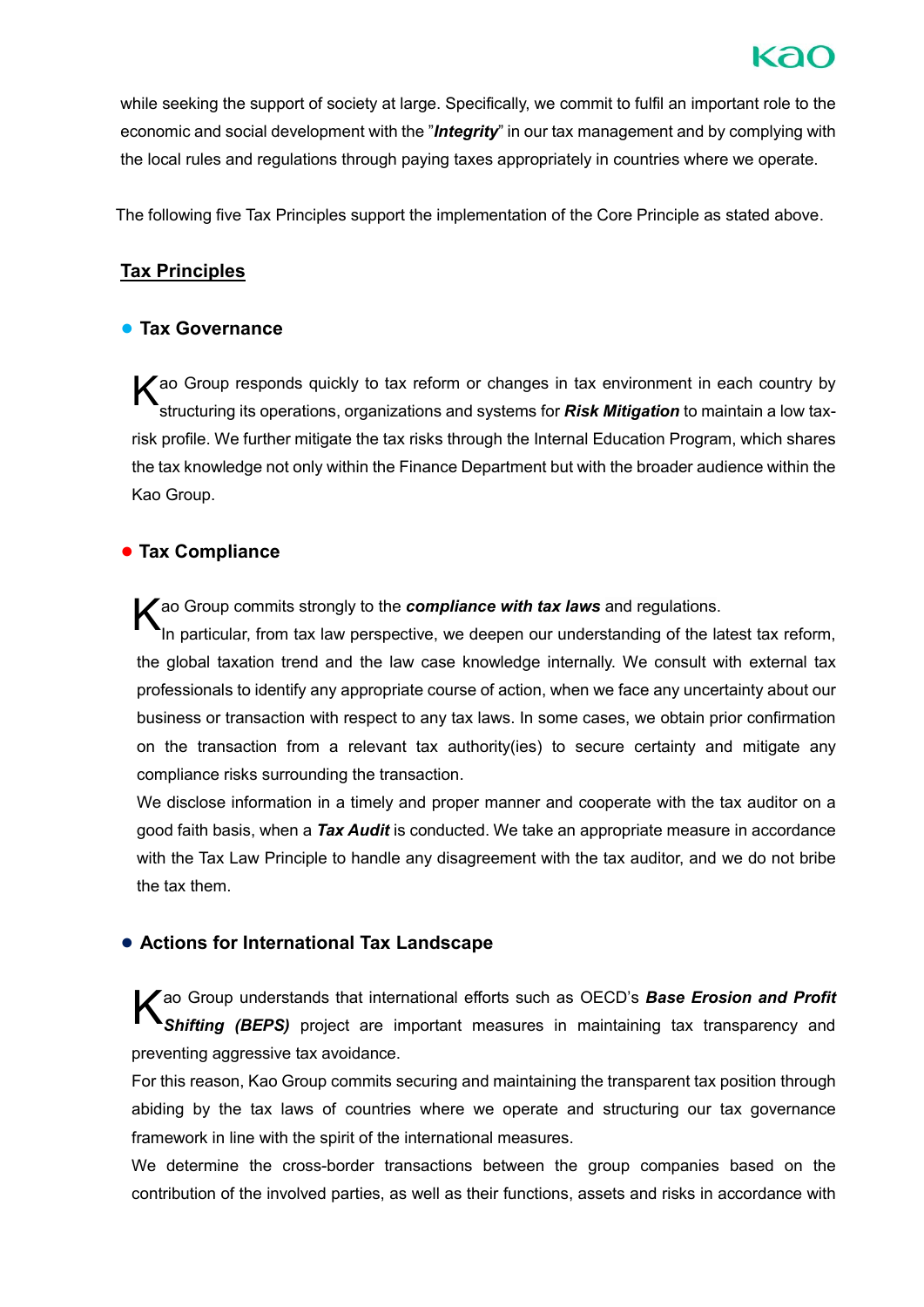while seeking the support of society at large. Specifically, we commit to fulfil an important role to the economic and social development with the "*Integrity*" in our tax management and by complying with the local rules and regulations through paying taxes appropriately in countries where we operate

The following five Tax Principles support the implementation of the Core Principle as stated above

# **Tax Principles**

## **● Tax Governance**

K ao Group responds quickly to tax reform or changes in tax environment in each country by<br>
structuring its operations, organizations and systems for **Risk Mitigation** to maintain a low taxstructuring its operations, organizations and systems for *Risk Mitigation* to maintain a low taxrisk profile. We further mitigate the tax risks through the Internal Education Program, which shares the tax knowledge not only within the Finance Department but with the broader audience within the Kao Group

# **● Tax Compliance**

K ao Group commits strongly to the *compliance with tax laws* and regulations.<br>In particular, from tax law perspective, we deepen our understanding of the la

In particular, from tax law perspective, we deepen our understanding of the latest tax reform, the global taxation trend and the law case knowledge internally We consult with external tax professionals to identify any appropriate course of action, when we face any uncertainty about our business or transaction with respect to any tax laws In some cases, we obtain prior confirmation on the transaction from a relevant tax authority(ies) to secure certainty and mitigate any compliance risks surrounding the transaction

We disclose information in a timely and proper manner and cooperate with the tax auditor on a good faith basis, when a *Tax Audit* is conducted We take an appropriate measure in accordance with the Tax Law Principle to handle any disagreement with the tax auditor, and we do not bribe the tax them

# **● Actions for International Tax Landscape**

Kao Group understands that international efforts such as OECD's **Base Erosion and Profit**<br> **K** Shifting (BEPS) project are important measures in maintaining tax transparency and *Shifting (BEPS)* project are important measures in maintaining tax transparency and preventing aggressive tax avoidance.

For this reason, Kao Group commits securing and maintaining the transparent tax position through abiding by the tax laws of countries where we operate and structuring our tax governance framework in line with the spirit of the international measures

We determine the cross-border transactions between the group companies based on the contribution of the involved parties, as well as their functions, assets and risks in accordance with